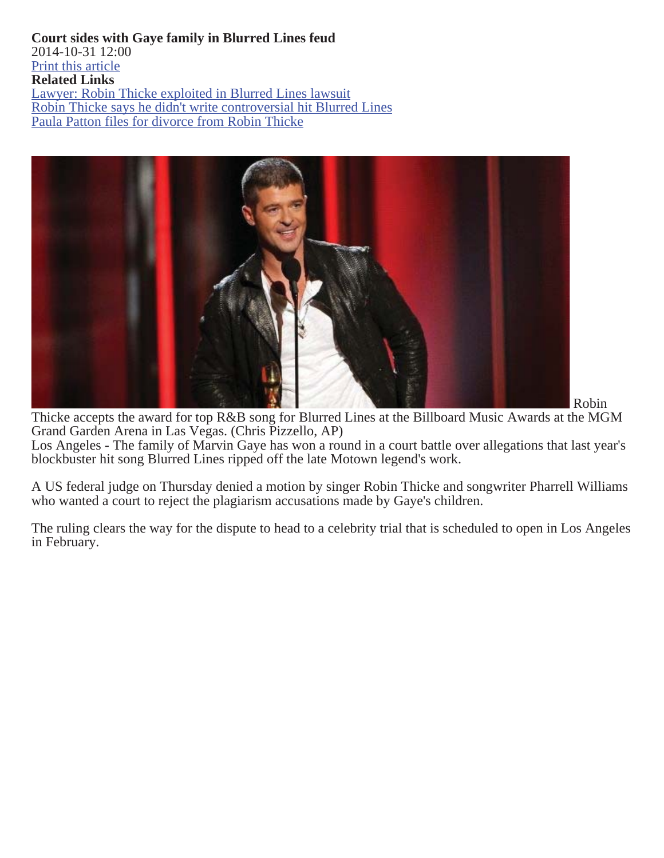**Court sides with Gaye family in Blurred Lines feud** 2014-10-31 12:00 Print this article **Related Links** Lawyer: Robin Thicke exploited in Blurred Lines lawsuit Robin Thicke says he didn't write controversial hit Blurred Lines Paula Patton files for divorce from Robin Thicke



Los Angeles - The family of Marvin Gaye has won a round in a court battle over allegations that last year's blockbuster hit song Blurred Lines ripped off the late Motown legend's work. Thicke accepts the award for top R&B song for Blurred Lines at the Billboard Music Awards at the MGM Grand Garden Arena in Las Vegas. (Chris Pizzello, AP)

A US federal judge on Thursday denied a motion by singer Robin Thicke and songwriter Pharrell Williams who wanted a court to reject the plagiarism accusations made by Gaye's children.

The ruling clears the way for the dispute to head to a celebrity trial that is scheduled to open in Los Angeles in February.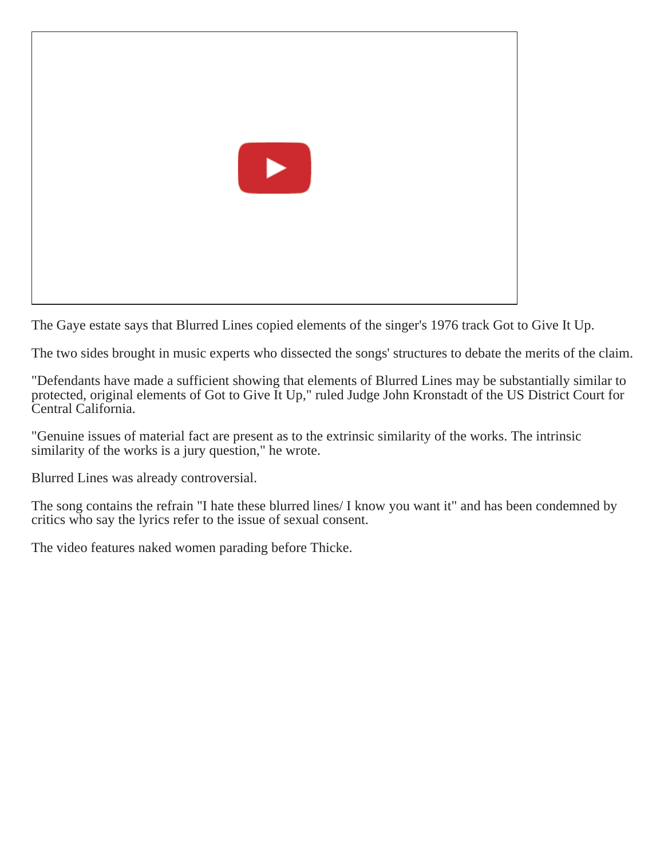

The Gaye estate says that Blurred Lines copied elements of the singer's 1976 track Got to Give It Up.

The two sides brought in music experts who dissected the songs' structures to debate the merits of the claim.

"Defendants have made a sufficient showing that elements of Blurred Lines may be substantially similar to protected, original elements of Got to Give It Up," ruled Judge John Kronstadt of the US District Court for Central California.

"Genuine issues of material fact are present as to the extrinsic similarity of the works. The intrinsic similarity of the works is a jury question," he wrote.

Blurred Lines was already controversial.

The song contains the refrain "I hate these blurred lines/ I know you want it" and has been condemned by critics who say the lyrics refer to the issue of sexual consent.

The video features naked women parading before Thicke.